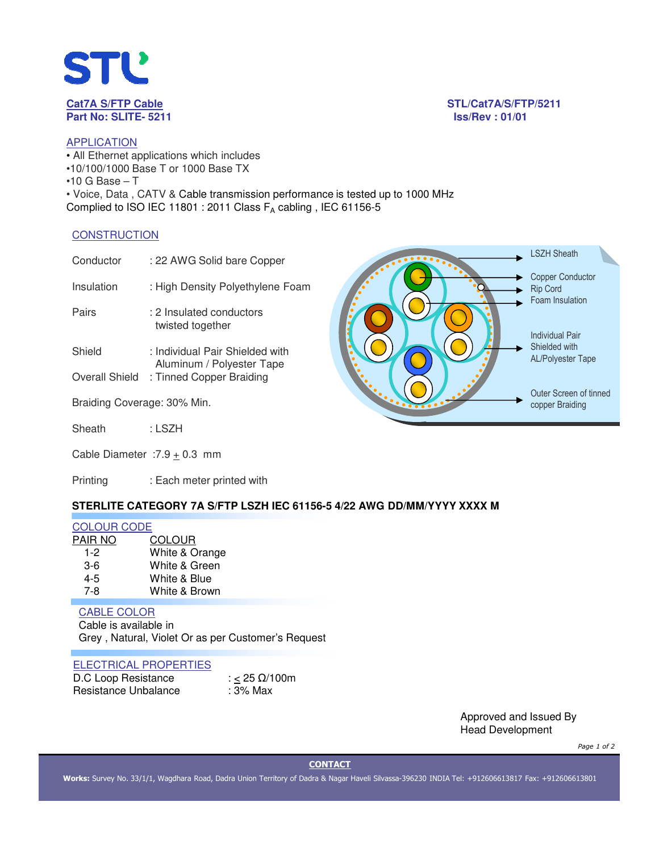

STL/Cat7A/S/FTP/5211

# **APPLICATION** • All Ethernet applications which includes •10/100/1000 Base T or 1000 Base TX  $•10$  G Base  $-$  T • Voice, Data , CATV & Cable transmission performance is tested up to 1000 MHz

Complied to ISO IEC 11801 : 2011 Class  $F_A$  cabling, IEC 61156-5

## **CONSTRUCTION**

| Conductor                   | : 22 AWG Solid bare Copper                                                               | <b>LSZH Sheath</b>                                            |
|-----------------------------|------------------------------------------------------------------------------------------|---------------------------------------------------------------|
| Insulation                  | : High Density Polyethylene Foam                                                         | <b>Copper Conductor</b><br><b>Rip Cord</b><br>Foam Insulation |
| Pairs                       | : 2 Insulated conductors<br>twisted together                                             | <b>Individual Pair</b>                                        |
| Shield<br>Overall Shield    | : Individual Pair Shielded with<br>Aluminum / Polyester Tape<br>: Tinned Copper Braiding | Shielded with<br><b>AL/Polyester Tape</b>                     |
| Braiding Coverage: 30% Min. |                                                                                          | Outer Screen of tinned<br>copper Braiding                     |
| Sheath                      | : LSZH                                                                                   |                                                               |
|                             | Cable Diameter : $7.9 + 0.3$ mm                                                          |                                                               |

Printing : Each meter printed with

# **STERLITE CATEGORY 7A S/FTP LSZH IEC 61156-5 4/22 AWG DD/MM/YYYY XXXX M**

### COLOUR CODE

| PAIR NO | <b>COLOUR</b>  |
|---------|----------------|
| 1-2     | White & Orange |
| $3-6$   | White & Green  |
| $4-5$   | White & Blue   |
| 7-8     | White & Brown  |

# CABLE COLOR

Cable is available in Grey , Natural, Violet Or as per Customer's Request

### ELECTRICAL PROPERTIES

| D.C Loop Resistance  | : < 25 $\Omega$ /100m |
|----------------------|-----------------------|
| Resistance Unbalance | : 3% Max              |

Approved and Issued By Head Development

*Page 1 of 2*

**CONTACT**

**Works:** Survey No. 33/1/1, Wagdhara Road, Dadra Union Territory of Dadra & Nagar Haveli Silvassa-396230 INDIA Tel: +912606613817 Fax: +912606613801